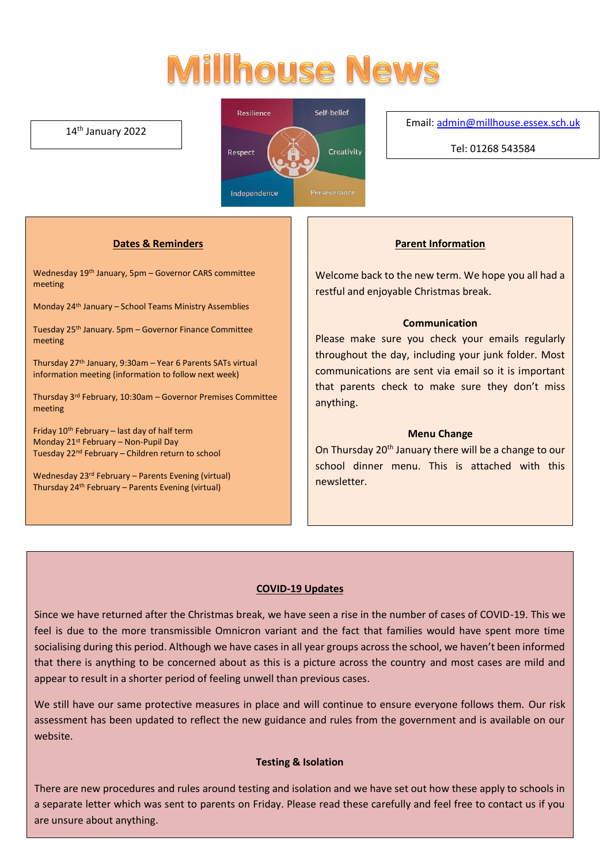# **Millhouse News**

## 14th January 2022



### Email[: admin@millhouse.essex.sch.uk](mailto:admin@millhouse.essex.sch.uk)

Tel: 01268 543584

## **Dates & Reminders**

Wednesday 19th January, 5pm – Governor CARS committee meeting

Monday 24th January – School Teams Ministry Assemblies

Tuesday 25th January. 5pm – Governor Finance Committee meeting

Thursday 27th January, 9:30am – Year 6 Parents SATs virtual information meeting (information to follow next week)

Thursday 3rd February, 10:30am – Governor Premises Committee meeting

Friday  $10^{th}$  February – last day of half term Monday 21st February – Non-Pupil Day Tuesday 22nd February – Children return to school

Wednesday 23rd February – Parents Evening (virtual) Thursday 24th February – Parents Evening (virtual)

### **Parent Information**

Welcome back to the new term. We hope you all had a restful and enjoyable Christmas break.

## **Communication**

Please make sure you check your emails regularly throughout the day, including your junk folder. Most communications are sent via email so it is important that parents check to make sure they don't miss anything.

### **Menu Change**

On Thursday 20<sup>th</sup> January there will be a change to our school dinner menu. This is attached with this newsletter.

# **COVID-19 Updates**

Since we have returned after the Christmas break, we have seen a rise in the number of cases of COVID-19. This we feel is due to the more transmissible Omnicron variant and the fact that families would have spent more time socialising during this period. Although we have cases in all year groups across the school, we haven't been informed that there is anything to be concerned about as this is a picture across the country and most cases are mild and appear to result in a shorter period of feeling unwell than previous cases.

We still have our same protective measures in place and will continue to ensure everyone follows them. Our risk assessment has been updated to reflect the new guidance and rules from the government and is available on our website.

### **Testing & Isolation**

There are new procedures and rules around testing and isolation and we have set out how these apply to schools in a separate letter which was sent to parents on Friday. Please read these carefully and feel free to contact us if you are unsure about anything.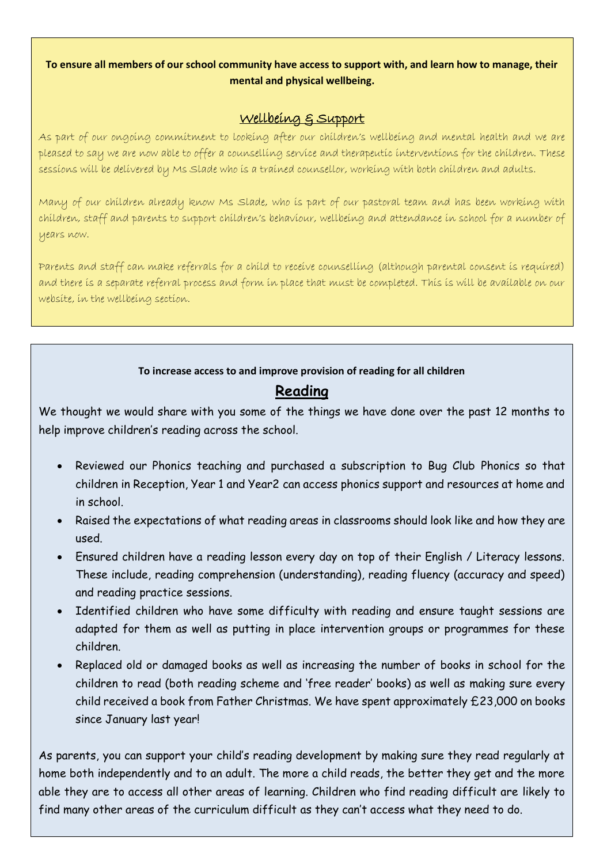# **To ensure all members of our school community have access to support with, and learn how to manage, their mental and physical wellbeing.**

# Wellbeing & Support

As part of our ongoing commitment to looking after our children's wellbeing and mental health and we are pleased to say we are now able to offer a counselling service and therapeutic interventions for the children. These sessions will be delivered by Ms Slade who is a trained counsellor, working with both children and adults.

Many of our children already know Ms Slade, who is part of our pastoral team and has been working with children, staff and parents to support children's behaviour, wellbeing and attendance in school for a number of years now.

Parents and staff can make referrals for a child to receive counselling (although parental consent is required) and there is a separate referral process and form in place that must be completed. This is will be available on our website, in the wellbeing section.

# **To increase access to and improve provision of reading for all children**

# **Reading**

We thought we would share with you some of the things we have done over the past 12 months to help improve children's reading across the school.

- Reviewed our Phonics teaching and purchased a subscription to Bug Club Phonics so that children in Reception, Year 1 and Year2 can access phonics support and resources at home and in school.
- Raised the expectations of what reading areas in classrooms should look like and how they are used.
- Ensured children have a reading lesson every day on top of their English / Literacy lessons. These include, reading comprehension (understanding), reading fluency (accuracy and speed) and reading practice sessions.
- Identified children who have some difficulty with reading and ensure taught sessions are adapted for them as well as putting in place intervention groups or programmes for these children.
- Replaced old or damaged books as well as increasing the number of books in school for the children to read (both reading scheme and 'free reader' books) as well as making sure every child received a book from Father Christmas. We have spent approximately £23,000 on books since January last year!

As parents, you can support your child's reading development by making sure they read regularly at home both independently and to an adult. The more a child reads, the better they get and the more able they are to access all other areas of learning. Children who find reading difficult are likely to find many other areas of the curriculum difficult as they can't access what they need to do.